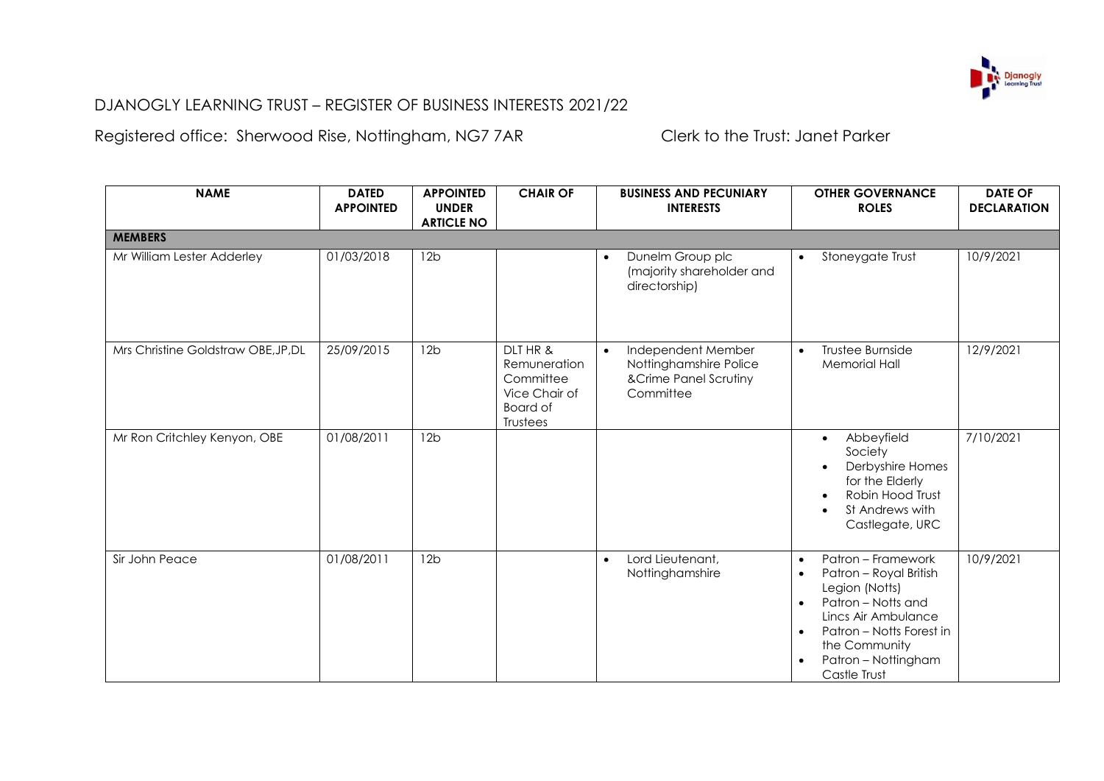

## DJANOGLY LEARNING TRUST – REGISTER OF BUSINESS INTERESTS 2021/22

Registered office: Sherwood Rise, Nottingham, NG7 7AR Clerk to the Trust: Janet Parker

| <b>NAME</b>                         | <b>DATED</b><br><b>APPOINTED</b> | <b>APPOINTED</b><br><b>UNDER</b><br><b>ARTICLE NO</b> | <b>CHAIR OF</b>                                                                | <b>BUSINESS AND PECUNIARY</b><br><b>INTERESTS</b>                                               | <b>OTHER GOVERNANCE</b><br><b>ROLES</b>                                                                                                                                                                                                                          | <b>DATE OF</b><br><b>DECLARATION</b> |
|-------------------------------------|----------------------------------|-------------------------------------------------------|--------------------------------------------------------------------------------|-------------------------------------------------------------------------------------------------|------------------------------------------------------------------------------------------------------------------------------------------------------------------------------------------------------------------------------------------------------------------|--------------------------------------|
| <b>MEMBERS</b>                      |                                  |                                                       |                                                                                |                                                                                                 |                                                                                                                                                                                                                                                                  |                                      |
| Mr William Lester Adderley          | 01/03/2018                       | 12 <sub>b</sub>                                       |                                                                                | Dunelm Group plc<br>$\bullet$<br>(majority shareholder and<br>directorship)                     | Stoneygate Trust<br>$\bullet$                                                                                                                                                                                                                                    | 10/9/2021                            |
| Mrs Christine Goldstraw OBE, JP, DL | 25/09/2015                       | 12b                                                   | DLT HR &<br>Remuneration<br>Committee<br>Vice Chair of<br>Board of<br>Trustees | Independent Member<br>$\bullet$<br>Nottinghamshire Police<br>&Crime Panel Scrutiny<br>Committee | Trustee Burnside<br>$\bullet$<br><b>Memorial Hall</b>                                                                                                                                                                                                            | 12/9/2021                            |
| Mr Ron Critchley Kenyon, OBE        | 01/08/2011                       | 12 <sub>b</sub>                                       |                                                                                |                                                                                                 | Abbeyfield<br>$\bullet$<br>Society<br>Derbyshire Homes<br>for the Elderly<br>Robin Hood Trust<br>St Andrews with<br>Castlegate, URC                                                                                                                              | 7/10/2021                            |
| Sir John Peace                      | 01/08/2011                       | 12 <sub>b</sub>                                       |                                                                                | Lord Lieutenant,<br>$\bullet$<br>Nottinghamshire                                                | Patron - Framework<br>$\bullet$<br>Patron - Royal British<br>$\bullet$<br>Legion (Notts)<br>Patron - Notts and<br>$\bullet$<br>Lincs Air Ambulance<br>Patron – Notts Forest in<br>$\bullet$<br>the Community<br>Patron - Nottingham<br>$\bullet$<br>Castle Trust | 10/9/2021                            |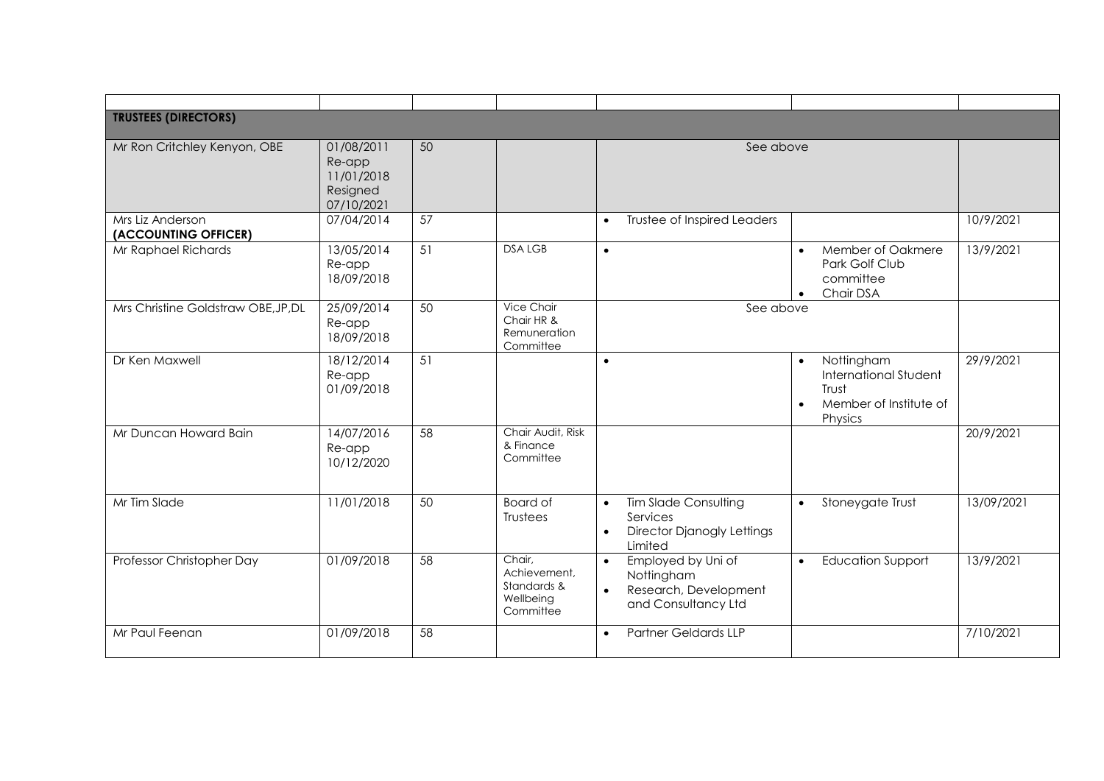| <b>TRUSTEES (DIRECTORS)</b>              |                                                              |    |                                                                 |                                                                                                                   |                                                                                                                    |            |
|------------------------------------------|--------------------------------------------------------------|----|-----------------------------------------------------------------|-------------------------------------------------------------------------------------------------------------------|--------------------------------------------------------------------------------------------------------------------|------------|
| Mr Ron Critchley Kenyon, OBE             | 01/08/2011<br>Re-app<br>11/01/2018<br>Resigned<br>07/10/2021 | 50 |                                                                 | See above                                                                                                         |                                                                                                                    |            |
| Mrs Liz Anderson<br>(ACCOUNTING OFFICER) | 07/04/2014                                                   | 57 |                                                                 | Trustee of Inspired Leaders<br>$\bullet$                                                                          |                                                                                                                    | 10/9/2021  |
| Mr Raphael Richards                      | 13/05/2014<br>Re-app<br>18/09/2018                           | 51 | <b>DSALGB</b>                                                   | $\bullet$                                                                                                         | Member of Oakmere<br>$\bullet$<br>Park Golf Club<br>committee<br>Chair DSA<br>$\bullet$                            | 13/9/2021  |
| Mrs Christine Goldstraw OBE, JP, DL      | 25/09/2014<br>Re-app<br>18/09/2018                           | 50 | Vice Chair<br>Chair HR &<br>Remuneration<br>Committee           | See above                                                                                                         |                                                                                                                    |            |
| Dr Ken Maxwell                           | 18/12/2014<br>Re-app<br>01/09/2018                           | 51 |                                                                 | $\bullet$                                                                                                         | Nottingham<br>$\bullet$<br><b>International Student</b><br>Trust<br>Member of Institute of<br>$\bullet$<br>Physics | 29/9/2021  |
| Mr Duncan Howard Bain                    | 14/07/2016<br>Re-app<br>10/12/2020                           | 58 | Chair Audit, Risk<br>& Finance<br>Committee                     |                                                                                                                   |                                                                                                                    | 20/9/2021  |
| Mr Tim Slade                             | 11/01/2018                                                   | 50 | <b>Board of</b><br>Trustees                                     | <b>Tim Slade Consulting</b><br>$\bullet$<br>Services<br><b>Director Djanogly Lettings</b><br>$\bullet$<br>Limited | Stoneygate Trust<br>$\bullet$                                                                                      | 13/09/2021 |
| Professor Christopher Day                | 01/09/2018                                                   | 58 | Chair,<br>Achievement,<br>Standards &<br>Wellbeing<br>Committee | Employed by Uni of<br>$\bullet$<br>Nottingham<br>Research, Development<br>$\bullet$<br>and Consultancy Ltd        | <b>Education Support</b><br>$\bullet$                                                                              | 13/9/2021  |
| Mr Paul Feenan                           | 01/09/2018                                                   | 58 |                                                                 | <b>Partner Geldards LLP</b><br>$\bullet$                                                                          |                                                                                                                    | 7/10/2021  |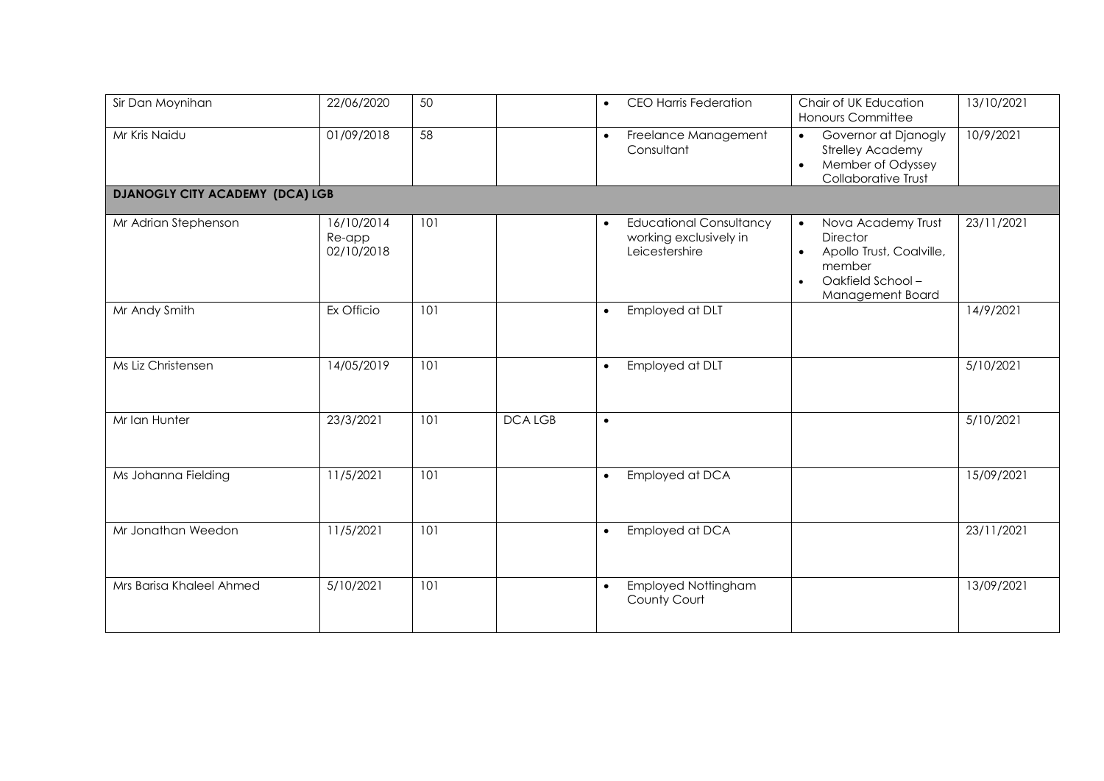| Sir Dan Moynihan                       | 22/06/2020                         | 50  |               | <b>CEO Harris Federation</b>                                                            | Chair of UK Education<br>Honours Committee                                                                                                                 | 13/10/2021 |
|----------------------------------------|------------------------------------|-----|---------------|-----------------------------------------------------------------------------------------|------------------------------------------------------------------------------------------------------------------------------------------------------------|------------|
| Mr Kris Naidu                          | 01/09/2018                         | 58  |               | Freelance Management<br>$\bullet$<br>Consultant                                         | Governor at Djanogly<br>$\bullet$<br><b>Strelley Academy</b><br>Member of Odyssey<br>$\bullet$<br>Collaborative Trust                                      | 10/9/2021  |
| <b>DJANOGLY CITY ACADEMY (DCA) LGB</b> |                                    |     |               |                                                                                         |                                                                                                                                                            |            |
| Mr Adrian Stephenson                   | 16/10/2014<br>Re-app<br>02/10/2018 | 101 |               | <b>Educational Consultancy</b><br>$\bullet$<br>working exclusively in<br>Leicestershire | Nova Academy Trust<br>$\bullet$<br><b>Director</b><br>Apollo Trust, Coalville,<br>$\bullet$<br>member<br>Oakfield School-<br>$\bullet$<br>Management Board | 23/11/2021 |
| Mr Andy Smith                          | Ex Officio                         | 101 |               | Employed at DLT<br>$\bullet$                                                            |                                                                                                                                                            | 14/9/2021  |
| Ms Liz Christensen                     | 14/05/2019                         | 101 |               | Employed at DLT<br>$\bullet$                                                            |                                                                                                                                                            | 5/10/2021  |
| Mr Ian Hunter                          | 23/3/2021                          | 101 | <b>DCALGB</b> | $\bullet$                                                                               |                                                                                                                                                            | 5/10/2021  |
| Ms Johanna Fielding                    | 11/5/2021                          | 101 |               | Employed at DCA<br>$\bullet$                                                            |                                                                                                                                                            | 15/09/2021 |
| Mr Jonathan Weedon                     | 11/5/2021                          | 101 |               | Employed at DCA<br>$\bullet$                                                            |                                                                                                                                                            | 23/11/2021 |
| Mrs Barisa Khaleel Ahmed               | 5/10/2021                          | 101 |               | <b>Employed Nottingham</b><br>$\bullet$<br>County Court                                 |                                                                                                                                                            | 13/09/2021 |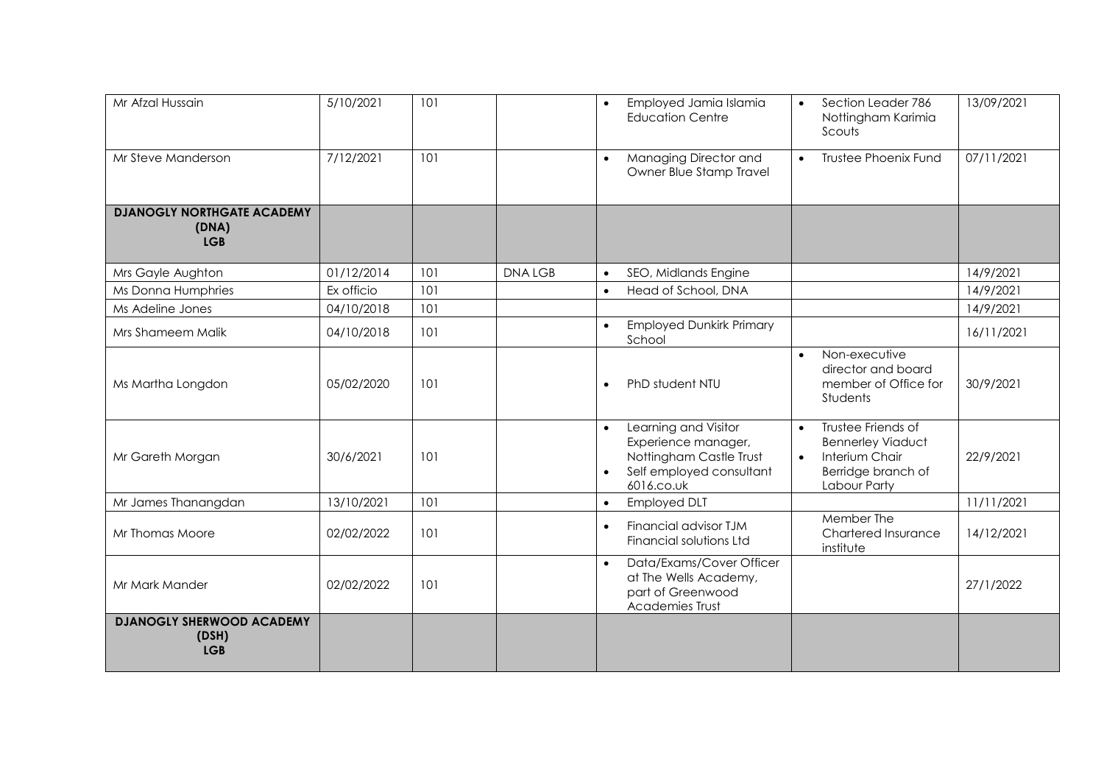| Mr Afzal Hussain                                         | 5/10/2021  | 101 |               | Employed Jamia Islamia<br><b>Education Centre</b>                                                                             | Section Leader 786<br>$\bullet$<br>Nottingham Karimia<br>Scouts                                                                  | 13/09/2021 |
|----------------------------------------------------------|------------|-----|---------------|-------------------------------------------------------------------------------------------------------------------------------|----------------------------------------------------------------------------------------------------------------------------------|------------|
| Mr Steve Manderson                                       | 7/12/2021  | 101 |               | Managing Director and<br>$\bullet$<br>Owner Blue Stamp Travel                                                                 | <b>Trustee Phoenix Fund</b><br>$\bullet$                                                                                         | 07/11/2021 |
| <b>DJANOGLY NORTHGATE ACADEMY</b><br>(DNA)<br><b>LGB</b> |            |     |               |                                                                                                                               |                                                                                                                                  |            |
| Mrs Gayle Aughton                                        | 01/12/2014 | 101 | <b>DNALGB</b> | SEO, Midlands Engine<br>$\bullet$                                                                                             |                                                                                                                                  | 14/9/2021  |
| Ms Donna Humphries                                       | Ex officio | 101 |               | Head of School, DNA<br>$\bullet$                                                                                              |                                                                                                                                  | 14/9/2021  |
| Ms Adeline Jones                                         | 04/10/2018 | 101 |               |                                                                                                                               |                                                                                                                                  | 14/9/2021  |
| Mrs Shameem Malik                                        | 04/10/2018 | 101 |               | <b>Employed Dunkirk Primary</b><br>$\bullet$<br>School                                                                        |                                                                                                                                  | 16/11/2021 |
| Ms Martha Longdon                                        | 05/02/2020 | 101 |               | PhD student NTU<br>$\bullet$                                                                                                  | Non-executive<br>$\bullet$<br>director and board<br>member of Office for<br>Students                                             | 30/9/2021  |
| Mr Gareth Morgan                                         | 30/6/2021  | 101 |               | Learning and Visitor<br>$\bullet$<br>Experience manager,<br>Nottingham Castle Trust<br>Self employed consultant<br>6016.co.uk | Trustee Friends of<br>$\bullet$<br><b>Bennerley Viaduct</b><br>Interium Chair<br>$\bullet$<br>Berridge branch of<br>Labour Party | 22/9/2021  |
| Mr James Thanangdan                                      | 13/10/2021 | 101 |               | <b>Employed DLT</b><br>$\bullet$                                                                                              |                                                                                                                                  | 11/11/2021 |
| Mr Thomas Moore                                          | 02/02/2022 | 101 |               | Financial advisor TJM<br>$\bullet$<br>Financial solutions Ltd                                                                 | Member The<br>Chartered Insurance<br>institute                                                                                   | 14/12/2021 |
| Mr Mark Mander                                           | 02/02/2022 | 101 |               | Data/Exams/Cover Officer<br>$\bullet$<br>at The Wells Academy,<br>part of Greenwood<br>Academies Trust                        |                                                                                                                                  | 27/1/2022  |
| <b>DJANOGLY SHERWOOD ACADEMY</b><br>(DSH)<br><b>LGB</b>  |            |     |               |                                                                                                                               |                                                                                                                                  |            |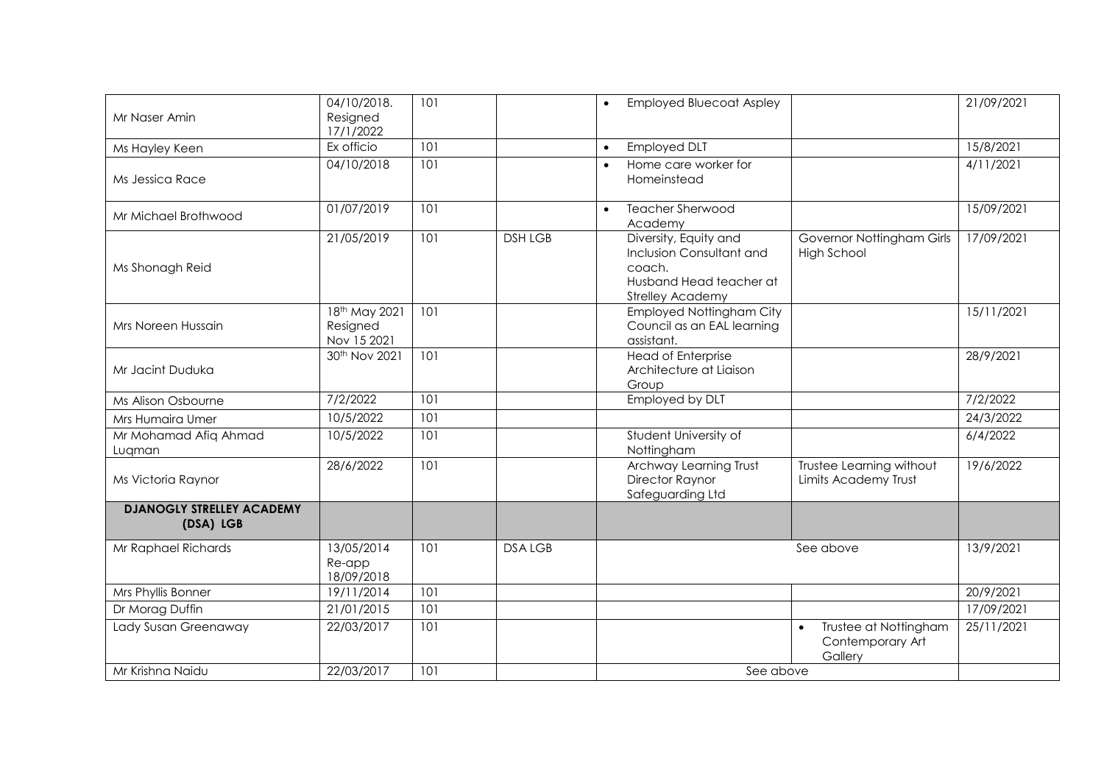| Mr Naser Amin                                 | 04/10/2018.<br>Resigned<br>17/1/2022     | 101 |                | <b>Employed Bluecoat Aspley</b><br>$\bullet$                                                                      |                                                                   | 21/09/2021 |
|-----------------------------------------------|------------------------------------------|-----|----------------|-------------------------------------------------------------------------------------------------------------------|-------------------------------------------------------------------|------------|
| Ms Hayley Keen                                | Ex officio                               | 101 |                | <b>Employed DLT</b><br>$\bullet$                                                                                  |                                                                   | 15/8/2021  |
| Ms Jessica Race                               | 04/10/2018                               | 101 |                | Home care worker for<br>Homeinstead                                                                               |                                                                   | 4/11/2021  |
| Mr Michael Brothwood                          | 01/07/2019                               | 101 |                | <b>Teacher Sherwood</b><br>$\bullet$<br>Academy                                                                   |                                                                   | 15/09/2021 |
| Ms Shonagh Reid                               | 21/05/2019                               | 101 | <b>DSH LGB</b> | Diversity, Equity and<br>Inclusion Consultant and<br>coach.<br>Husband Head teacher at<br><b>Strelley Academy</b> | Governor Nottingham Girls<br><b>High School</b>                   | 17/09/2021 |
| Mrs Noreen Hussain                            | 18th May 2021<br>Resigned<br>Nov 15 2021 | 101 |                | <b>Employed Nottingham City</b><br>Council as an EAL learning<br>assistant.                                       |                                                                   | 15/11/2021 |
| Mr Jacint Duduka                              | 30 <sup>th</sup> Nov 2021                | 101 |                | <b>Head of Enterprise</b><br>Architecture at Liaison<br>Group                                                     |                                                                   | 28/9/2021  |
| Ms Alison Osbourne                            | 7/2/2022                                 | 101 |                | Employed by DLT                                                                                                   |                                                                   | 7/2/2022   |
| Mrs Humaira Umer                              | 10/5/2022                                | 101 |                |                                                                                                                   |                                                                   | 24/3/2022  |
| Mr Mohamad Afiq Ahmad<br>Lugman               | 10/5/2022                                | 101 |                | Student University of<br>Nottingham                                                                               |                                                                   | 6/4/2022   |
| Ms Victoria Raynor                            | 28/6/2022                                | 101 |                | Archway Learning Trust<br><b>Director Raynor</b><br>Safeguarding Ltd                                              | Trustee Learning without<br>Limits Academy Trust                  | 19/6/2022  |
| <b>DJANOGLY STRELLEY ACADEMY</b><br>(DSA) LGB |                                          |     |                |                                                                                                                   |                                                                   |            |
| Mr Raphael Richards                           | 13/05/2014<br>Re-app<br>18/09/2018       | 101 | <b>DSALGB</b>  |                                                                                                                   | See above                                                         | 13/9/2021  |
| Mrs Phyllis Bonner                            | 19/11/2014                               | 101 |                |                                                                                                                   |                                                                   | 20/9/2021  |
| Dr Morag Duffin                               | 21/01/2015                               | 101 |                |                                                                                                                   |                                                                   | 17/09/2021 |
| Lady Susan Greenaway                          | 22/03/2017                               | 101 |                |                                                                                                                   | Trustee at Nottingham<br>$\bullet$<br>Contemporary Art<br>Gallery | 25/11/2021 |
| Mr Krishna Naidu                              | 22/03/2017                               | 101 |                | See above                                                                                                         |                                                                   |            |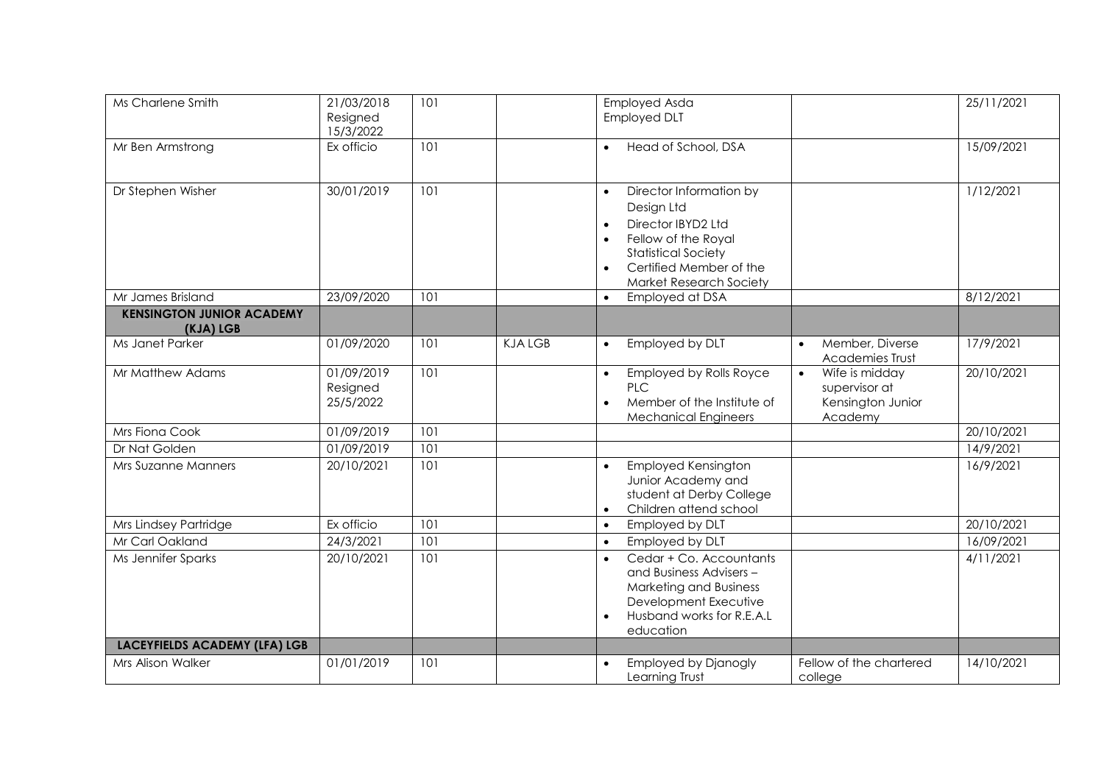| Ms Charlene Smith                             | 21/03/2018<br>Resigned<br>15/3/2022 | 101 |               | Employed Asda<br><b>Employed DLT</b>                                                                                                                                                                    |                                                                              | 25/11/2021 |
|-----------------------------------------------|-------------------------------------|-----|---------------|---------------------------------------------------------------------------------------------------------------------------------------------------------------------------------------------------------|------------------------------------------------------------------------------|------------|
| Mr Ben Armstrong                              | Ex officio                          | 101 |               | Head of School, DSA<br>$\bullet$                                                                                                                                                                        |                                                                              | 15/09/2021 |
| Dr Stephen Wisher                             | 30/01/2019                          | 101 |               | Director Information by<br>$\bullet$<br>Design Ltd<br>Director IBYD2 Ltd<br>Fellow of the Royal<br>$\bullet$<br><b>Statistical Society</b><br>Certified Member of the<br><b>Market Research Society</b> |                                                                              | 1/12/2021  |
| Mr James Brisland                             | 23/09/2020                          | 101 |               | Employed at DSA<br>$\bullet$                                                                                                                                                                            |                                                                              | 8/12/2021  |
| <b>KENSINGTON JUNIOR ACADEMY</b><br>(KJA) LGB |                                     |     |               |                                                                                                                                                                                                         |                                                                              |            |
| Ms Janet Parker                               | 01/09/2020                          | 101 | <b>KJALGB</b> | Employed by DLT<br>$\bullet$                                                                                                                                                                            | Member, Diverse<br>$\bullet$<br>Academies Trust                              | 17/9/2021  |
| Mr Matthew Adams                              | 01/09/2019<br>Resigned<br>25/5/2022 | 101 |               | Employed by Rolls Royce<br>$\bullet$<br><b>PLC</b><br>Member of the Institute of<br>$\bullet$<br><b>Mechanical Engineers</b>                                                                            | Wife is midday<br>$\bullet$<br>supervisor at<br>Kensington Junior<br>Academy | 20/10/2021 |
| Mrs Fiona Cook                                | 01/09/2019                          | 101 |               |                                                                                                                                                                                                         |                                                                              | 20/10/2021 |
| Dr Nat Golden                                 | 01/09/2019                          | 101 |               |                                                                                                                                                                                                         |                                                                              | 14/9/2021  |
| Mrs Suzanne Manners                           | 20/10/2021                          | 101 |               | <b>Employed Kensington</b><br>$\bullet$<br>Junior Academy and<br>student at Derby College<br>Children attend school<br>$\bullet$                                                                        |                                                                              | 16/9/2021  |
| Mrs Lindsey Partridge                         | Ex officio                          | 101 |               | Employed by DLT<br>$\bullet$                                                                                                                                                                            |                                                                              | 20/10/2021 |
| Mr Carl Oakland                               | 24/3/2021                           | 101 |               | Employed by DLT<br>$\bullet$                                                                                                                                                                            |                                                                              | 16/09/2021 |
| Ms Jennifer Sparks                            | 20/10/2021                          | 101 |               | Cedar + Co. Accountants<br>and Business Advisers -<br>Marketing and Business<br>Development Executive<br>Husband works for R.E.A.L<br>$\bullet$<br>education                                            |                                                                              | 4/11/2021  |
| <b>LACEYFIELDS ACADEMY (LFA) LGB</b>          |                                     |     |               |                                                                                                                                                                                                         |                                                                              |            |
| Mrs Alison Walker                             | 01/01/2019                          | 101 |               | <b>Employed by Djanogly</b><br>Learning Trust                                                                                                                                                           | Fellow of the chartered<br>college                                           | 14/10/2021 |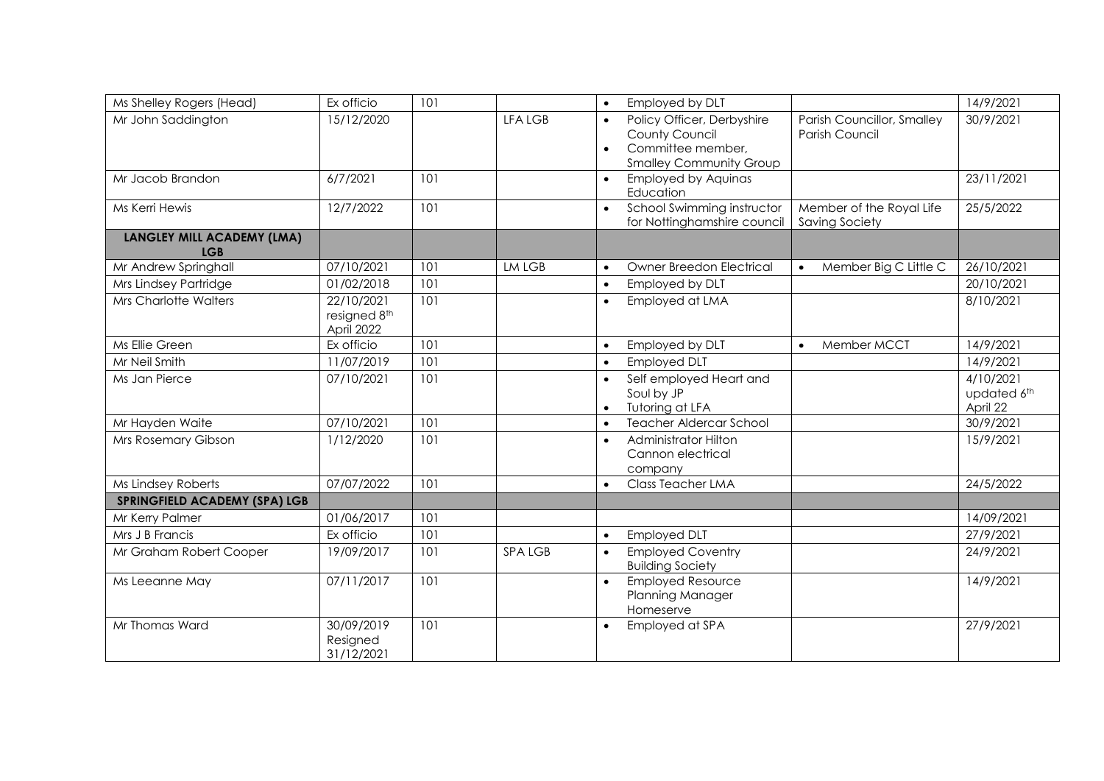| Ms Shelley Rogers (Head)                 | Ex officio                               | 101 |                | Employed by DLT<br>$\bullet$                                                                                                  |                                              | 14/9/2021                            |
|------------------------------------------|------------------------------------------|-----|----------------|-------------------------------------------------------------------------------------------------------------------------------|----------------------------------------------|--------------------------------------|
| Mr John Saddington                       | 15/12/2020                               |     | <b>LFA LGB</b> | Policy Officer, Derbyshire<br>$\bullet$<br>County Council<br>Committee member,<br>$\bullet$<br><b>Smalley Community Group</b> | Parish Councillor, Smalley<br>Parish Council | 30/9/2021                            |
| Mr Jacob Brandon                         | 6/7/2021                                 | 101 |                | <b>Employed by Aquinas</b><br>$\bullet$<br>Education                                                                          |                                              | 23/11/2021                           |
| Ms Kerri Hewis                           | 12/7/2022                                | 101 |                | School Swimming instructor<br>$\bullet$<br>for Nottinghamshire council                                                        | Member of the Royal Life<br>Saving Society   | 25/5/2022                            |
| LANGLEY MILL ACADEMY (LMA)<br><b>LGB</b> |                                          |     |                |                                                                                                                               |                                              |                                      |
| Mr Andrew Springhall                     | 07/10/2021                               | 101 | LM LGB         | Owner Breedon Electrical<br>$\bullet$                                                                                         | Member Big C Little C<br>$\bullet$           | 26/10/2021                           |
| Mrs Lindsey Partridge                    | 01/02/2018                               | 101 |                | Employed by DLT<br>$\bullet$                                                                                                  |                                              | 20/10/2021                           |
| <b>Mrs Charlotte Walters</b>             | 22/10/2021<br>resigned 8th<br>April 2022 | 101 |                | Employed at LMA<br>$\bullet$                                                                                                  |                                              | 8/10/2021                            |
| Ms Ellie Green                           | Ex officio                               | 101 |                | Employed by DLT<br>$\bullet$                                                                                                  | Member MCCT<br>$\bullet$                     | 14/9/2021                            |
| Mr Neil Smith                            | 11/07/2019                               | 101 |                | <b>Employed DLT</b><br>$\bullet$                                                                                              |                                              | 14/9/2021                            |
| Ms Jan Pierce                            | 07/10/2021                               | 101 |                | Self employed Heart and<br>$\bullet$<br>Soul by JP<br>Tutoring at LFA<br>$\bullet$                                            |                                              | 4/10/2021<br>updated 6th<br>April 22 |
| Mr Hayden Waite                          | 07/10/2021                               | 101 |                | <b>Teacher Aldercar School</b><br>$\bullet$                                                                                   |                                              | 30/9/2021                            |
| Mrs Rosemary Gibson                      | 1/12/2020                                | 101 |                | Administrator Hilton<br>$\bullet$<br>Cannon electrical<br>company                                                             |                                              | 15/9/2021                            |
| Ms Lindsey Roberts                       | 07/07/2022                               | 101 |                | <b>Class Teacher LMA</b><br>$\bullet$                                                                                         |                                              | 24/5/2022                            |
| <b>SPRINGFIELD ACADEMY (SPA) LGB</b>     |                                          |     |                |                                                                                                                               |                                              |                                      |
| Mr Kerry Palmer                          | 01/06/2017                               | 101 |                |                                                                                                                               |                                              | 14/09/2021                           |
| Mrs J B Francis                          | Ex officio                               | 101 |                | <b>Employed DLT</b><br>$\bullet$                                                                                              |                                              | 27/9/2021                            |
| Mr Graham Robert Cooper                  | 19/09/2017                               | 101 | <b>SPALGB</b>  | <b>Employed Coventry</b><br>$\bullet$<br><b>Building Society</b>                                                              |                                              | 24/9/2021                            |
| Ms Leeanne May                           | 07/11/2017                               | 101 |                | <b>Employed Resource</b><br>$\bullet$<br>Planning Manager<br>Homeserve                                                        |                                              | 14/9/2021                            |
| Mr Thomas Ward                           | 30/09/2019<br>Resigned<br>31/12/2021     | 101 |                | Employed at SPA<br>$\bullet$                                                                                                  |                                              | 27/9/2021                            |